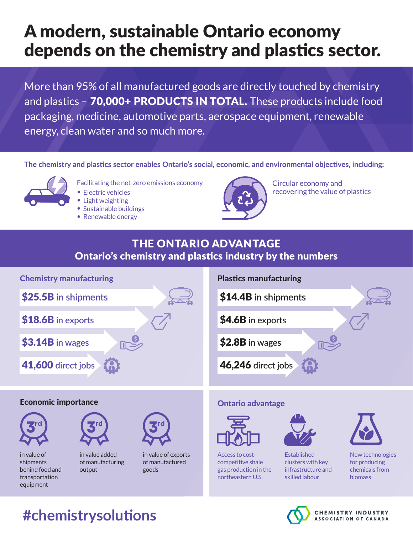# A modern, sustainable Ontario economy depends on the chemistry and plastics sector.

More than 95% of all manufactured goods are directly touched by chemistry and plastics - 70,000+ PRODUCTS IN TOTAL. These products include food packaging, medicine, automotive parts, aerospace equipment, renewable energy, clean water and so much more.

**The chemistry and plastics sector enables Ontario's social, economic, and environmental objectives, including:** 



- Facilitating the net-zero emissions economy
- Electric vehicles
- Light weighting
- Sustainable buildings
- Renewable energy



Circular economy and recovering the value of plastics

**ASSOCIATION OF CANADA** 

## Ontario's chemistry and plastics industry by the numbers THE ONTARIO ADVANTAGE



# **#chemistrysolutions**